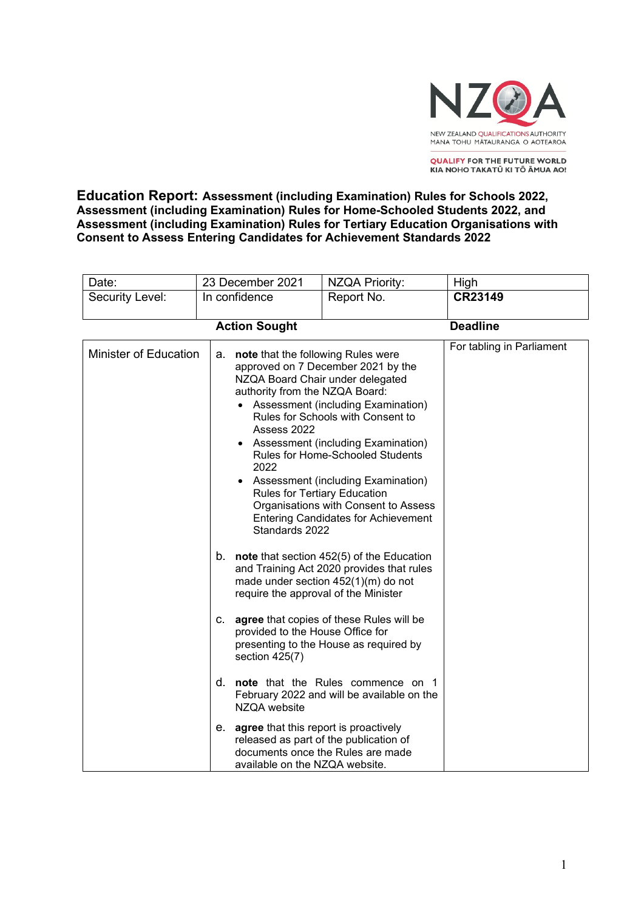

**QUALIFY FOR THE FUTURE WORLD** KIA NOHO TAKATŪ KI TŌ ĀMUA AO!

**Education Report: Assessment (including Examination) Rules for Schools 2022, Assessment (including Examination) Rules for Home-Schooled Students 2022, and Assessment (including Examination) Rules for Tertiary Education Organisations with Consent to Assess Entering Candidates for Achievement Standards 2022**

| Date:                        | 23 December 2021 |                                                                                                                                                                  | <b>NZQA Priority:</b>                                                                                                                                                                                                                                                                                                                                     | High                      |
|------------------------------|------------------|------------------------------------------------------------------------------------------------------------------------------------------------------------------|-----------------------------------------------------------------------------------------------------------------------------------------------------------------------------------------------------------------------------------------------------------------------------------------------------------------------------------------------------------|---------------------------|
| Security Level:              | In confidence    |                                                                                                                                                                  | Report No.                                                                                                                                                                                                                                                                                                                                                | CR23149                   |
|                              |                  |                                                                                                                                                                  |                                                                                                                                                                                                                                                                                                                                                           | <b>Deadline</b>           |
| <b>Action Sought</b>         |                  |                                                                                                                                                                  |                                                                                                                                                                                                                                                                                                                                                           |                           |
| <b>Minister of Education</b> |                  | note that the following Rules were<br>а.<br>authority from the NZQA Board:<br>Assess 2022<br>$\bullet$<br>2022<br>Rules for Tertiary Education<br>Standards 2022 | approved on 7 December 2021 by the<br>NZQA Board Chair under delegated<br>• Assessment (including Examination)<br>Rules for Schools with Consent to<br>Assessment (including Examination)<br>Rules for Home-Schooled Students<br>Assessment (including Examination)<br>Organisations with Consent to Assess<br><b>Entering Candidates for Achievement</b> | For tabling in Parliament |
|                              |                  | require the approval of the Minister                                                                                                                             | b. note that section $452(5)$ of the Education<br>and Training Act 2020 provides that rules<br>made under section 452(1)(m) do not                                                                                                                                                                                                                        |                           |
|                              | C.               | provided to the House Office for<br>section 425(7)                                                                                                               | agree that copies of these Rules will be<br>presenting to the House as required by                                                                                                                                                                                                                                                                        |                           |
|                              | d.               | NZQA website                                                                                                                                                     | note that the Rules commence on 1<br>February 2022 and will be available on the                                                                                                                                                                                                                                                                           |                           |
|                              |                  | e. agree that this report is proactively<br>available on the NZQA website.                                                                                       | released as part of the publication of<br>documents once the Rules are made                                                                                                                                                                                                                                                                               |                           |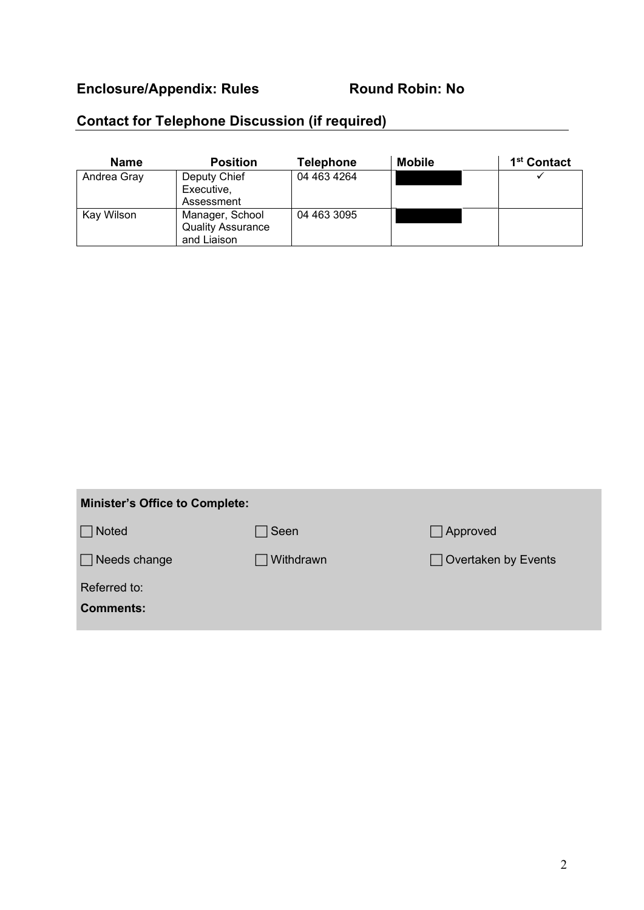# Enclosure/Appendix: Rules Round Robin: No

# **Contact for Telephone Discussion (if required)**

| <b>Name</b> | <b>Position</b>                                            | <b>Telephone</b> | <b>Mobile</b> | 1 <sup>st</sup> Contact |
|-------------|------------------------------------------------------------|------------------|---------------|-------------------------|
| Andrea Gray | Deputy Chief<br>Executive,<br>Assessment                   | 04 463 4264      |               |                         |
| Kay Wilson  | Manager, School<br><b>Quality Assurance</b><br>and Liaison | 04 463 3095      |               |                         |

| <b>Minister's Office to Complete:</b> |             |                            |  |  |  |
|---------------------------------------|-------------|----------------------------|--|--|--|
| Noted                                 | $\Box$ Seen | $\Box$ Approved            |  |  |  |
| $\Box$ Needs change                   | Withdrawn   | $\Box$ Overtaken by Events |  |  |  |
| Referred to:                          |             |                            |  |  |  |
| <b>Comments:</b>                      |             |                            |  |  |  |
|                                       |             |                            |  |  |  |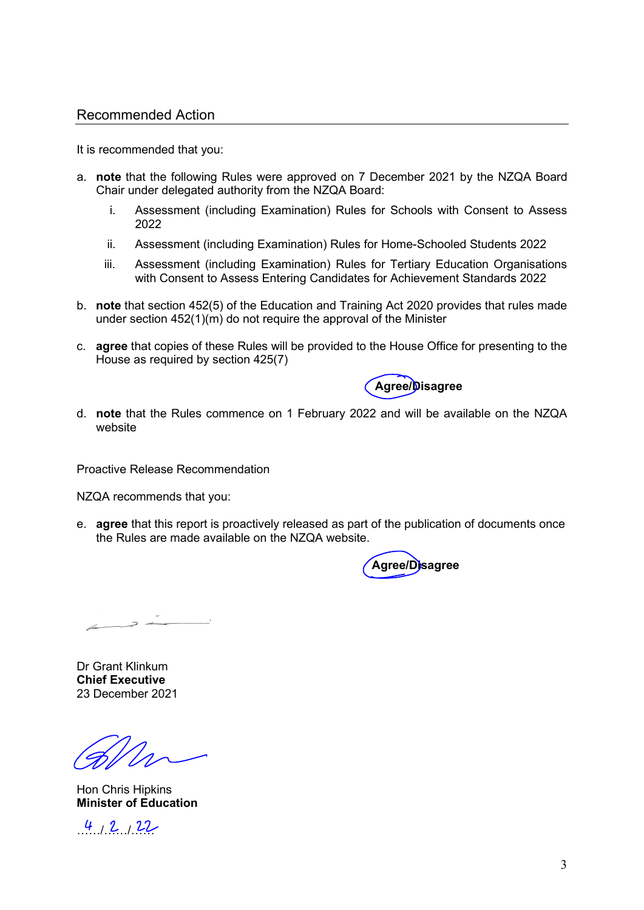### Recommended Action

It is recommended that you:

- a. **note** that the following Rules were approved on 7 December 2021 by the NZQA Board Chair under delegated authority from the NZQA Board:
	- i. Assessment (including Examination) Rules for Schools with Consent to Assess 2022
	- ii. Assessment (including Examination) Rules for Home-Schooled Students 2022
	- iii. Assessment (including Examination) Rules for Tertiary Education Organisations with Consent to Assess Entering Candidates for Achievement Standards 2022
- b. **note** that section 452(5) of the Education and Training Act 2020 provides that rules made under section 452(1)(m) do not require the approval of the Minister
- c. **agree** that copies of these Rules will be provided to the House Office for presenting to the House as required by section 425(7)



d. **note** that the Rules commence on 1 February 2022 and will be available on the NZQA website

Proactive Release Recommendation

NZQA recommends that you:

e. **agree** that this report is proactively released as part of the publication of documents once the Rules are made available on the NZQA website.

 **Agree/Disagree**

 $\overline{a}$ 

Dr Grant Klinkum **Chief Executive** 23 December 2021

Hon Chris Hipkins **Minister of Education**

 $4, 2, 22$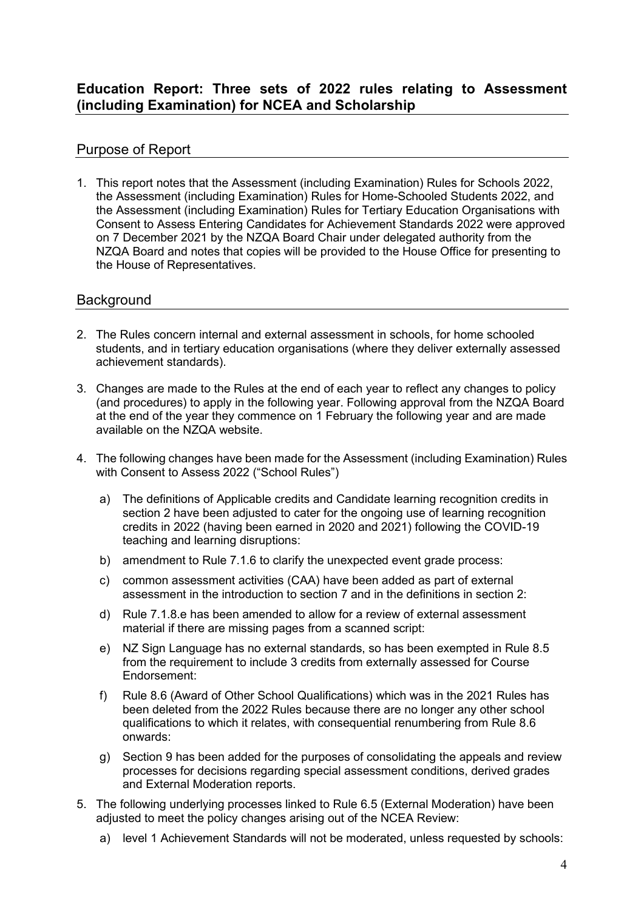# Purpose of Report

1. This report notes that the Assessment (including Examination) Rules for Schools 2022, the Assessment (including Examination) Rules for Home-Schooled Students 2022, and the Assessment (including Examination) Rules for Tertiary Education Organisations with Consent to Assess Entering Candidates for Achievement Standards 2022 were approved on 7 December 2021 by the NZQA Board Chair under delegated authority from the NZQA Board and notes that copies will be provided to the House Office for presenting to the House of Representatives.

## **Background**

- 2. The Rules concern internal and external assessment in schools, for home schooled students, and in tertiary education organisations (where they deliver externally assessed achievement standards).
- 3. Changes are made to the Rules at the end of each year to reflect any changes to policy (and procedures) to apply in the following year. Following approval from the NZQA Board at the end of the year they commence on 1 February the following year and are made available on the NZQA website.
- 4. The following changes have been made for the Assessment (including Examination) Rules with Consent to Assess 2022 ("School Rules")
	- a) The definitions of Applicable credits and Candidate learning recognition credits in section 2 have been adjusted to cater for the ongoing use of learning recognition credits in 2022 (having been earned in 2020 and 2021) following the COVID-19 teaching and learning disruptions:
	- b) amendment to Rule 7.1.6 to clarify the unexpected event grade process:
	- c) common assessment activities (CAA) have been added as part of external assessment in the introduction to section 7 and in the definitions in section 2:
	- d) Rule 7.1.8.e has been amended to allow for a review of external assessment material if there are missing pages from a scanned script:
	- e) NZ Sign Language has no external standards, so has been exempted in Rule 8.5 from the requirement to include 3 credits from externally assessed for Course Endorsement:
	- f) Rule 8.6 (Award of Other School Qualifications) which was in the 2021 Rules has been deleted from the 2022 Rules because there are no longer any other school qualifications to which it relates, with consequential renumbering from Rule 8.6 onwards:
	- g) Section 9 has been added for the purposes of consolidating the appeals and review processes for decisions regarding special assessment conditions, derived grades and External Moderation reports.
- 5. The following underlying processes linked to Rule 6.5 (External Moderation) have been adjusted to meet the policy changes arising out of the NCEA Review:
	- a) level 1 Achievement Standards will not be moderated, unless requested by schools: